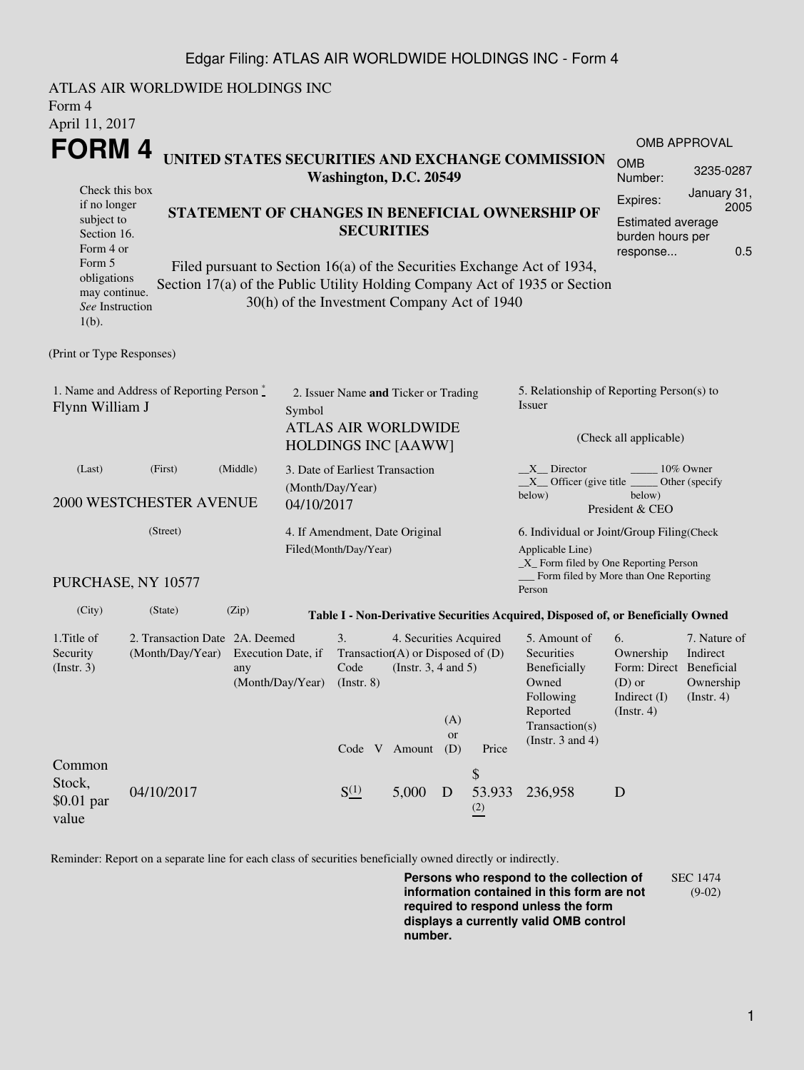## Edgar Filing: ATLAS AIR WORLDWIDE HOLDINGS INC - Form 4

| Form 4<br>April 11, 2017                                                                        | ATLAS AIR WORLDWIDE HOLDINGS INC                                                                    |                        |                                                                      |                                                                                                                            |       |                                                  |                                           |                                                                                                                 |                                                        |                                       |  |  |
|-------------------------------------------------------------------------------------------------|-----------------------------------------------------------------------------------------------------|------------------------|----------------------------------------------------------------------|----------------------------------------------------------------------------------------------------------------------------|-------|--------------------------------------------------|-------------------------------------------|-----------------------------------------------------------------------------------------------------------------|--------------------------------------------------------|---------------------------------------|--|--|
| FORM 4                                                                                          |                                                                                                     |                        |                                                                      |                                                                                                                            |       |                                                  |                                           |                                                                                                                 |                                                        | OMB APPROVAL                          |  |  |
|                                                                                                 |                                                                                                     | Washington, D.C. 20549 |                                                                      |                                                                                                                            |       | UNITED STATES SECURITIES AND EXCHANGE COMMISSION | <b>OMB</b><br>Number:                     | 3235-0287                                                                                                       |                                                        |                                       |  |  |
| Check this box<br>if no longer                                                                  |                                                                                                     |                        |                                                                      |                                                                                                                            |       |                                                  |                                           |                                                                                                                 | Expires:                                               | January 31,<br>2005                   |  |  |
| subject to<br>Section 16.                                                                       |                                                                                                     |                        | STATEMENT OF CHANGES IN BENEFICIAL OWNERSHIP OF<br><b>SECURITIES</b> |                                                                                                                            |       |                                                  |                                           | <b>Estimated average</b>                                                                                        |                                                        |                                       |  |  |
| Form 4 or                                                                                       |                                                                                                     |                        |                                                                      |                                                                                                                            |       |                                                  |                                           |                                                                                                                 | burden hours per<br>response                           |                                       |  |  |
| obligations                                                                                     | Form 5<br>Filed pursuant to Section 16(a) of the Securities Exchange Act of 1934,                   |                        |                                                                      |                                                                                                                            |       |                                                  |                                           |                                                                                                                 |                                                        |                                       |  |  |
| may continue.                                                                                   |                                                                                                     |                        |                                                                      | 30(h) of the Investment Company Act of 1940                                                                                |       |                                                  |                                           | Section 17(a) of the Public Utility Holding Company Act of 1935 or Section                                      |                                                        |                                       |  |  |
| See Instruction<br>$1(b)$ .                                                                     |                                                                                                     |                        |                                                                      |                                                                                                                            |       |                                                  |                                           |                                                                                                                 |                                                        |                                       |  |  |
| (Print or Type Responses)                                                                       |                                                                                                     |                        |                                                                      |                                                                                                                            |       |                                                  |                                           |                                                                                                                 |                                                        |                                       |  |  |
| 1. Name and Address of Reporting Person $\stackrel{*}{\mathbb{L}}$<br>Flynn William J<br>Symbol |                                                                                                     |                        |                                                                      | 2. Issuer Name and Ticker or Trading                                                                                       |       |                                                  |                                           | 5. Relationship of Reporting Person(s) to<br>Issuer                                                             |                                                        |                                       |  |  |
|                                                                                                 |                                                                                                     |                        |                                                                      | <b>ATLAS AIR WORLDWIDE</b><br><b>HOLDINGS INC [AAWW]</b>                                                                   |       |                                                  |                                           | (Check all applicable)                                                                                          |                                                        |                                       |  |  |
| (Middle)<br>(First)<br>(Last)                                                                   |                                                                                                     |                        |                                                                      | 3. Date of Earliest Transaction<br>(Month/Day/Year)                                                                        |       |                                                  |                                           | $X$ Director<br>10% Owner<br>$X$ Officer (give title $\frac{1}{1}$<br>Other (specify                            |                                                        |                                       |  |  |
| <b>2000 WESTCHESTER AVENUE</b>                                                                  |                                                                                                     |                        |                                                                      | 04/10/2017                                                                                                                 |       |                                                  |                                           | below)<br>below)<br>President & CEO                                                                             |                                                        |                                       |  |  |
| (Street)                                                                                        |                                                                                                     |                        | 4. If Amendment, Date Original                                       |                                                                                                                            |       |                                                  | 6. Individual or Joint/Group Filing(Check |                                                                                                                 |                                                        |                                       |  |  |
| PURCHASE, NY 10577                                                                              |                                                                                                     |                        |                                                                      | Filed(Month/Day/Year)                                                                                                      |       |                                                  |                                           | Applicable Line)<br>$\_X$ Form filed by One Reporting Person<br>Form filed by More than One Reporting<br>Person |                                                        |                                       |  |  |
| (City)                                                                                          | (State)                                                                                             | (Zip)                  |                                                                      |                                                                                                                            |       |                                                  |                                           | Table I - Non-Derivative Securities Acquired, Disposed of, or Beneficially Owned                                |                                                        |                                       |  |  |
| 1. Title of<br>Security<br>$($ Instr. 3 $)$                                                     | 2. Transaction Date 2A. Deemed<br>(Month/Day/Year)<br>Execution Date, if<br>any<br>(Month/Day/Year) |                        |                                                                      | 3.<br>4. Securities Acquired<br>Transaction(A) or Disposed of $(D)$<br>Code<br>(Instr. $3, 4$ and $5$ )<br>$($ Instr. $8)$ |       |                                                  |                                           | 5. Amount of<br>Securities<br>Beneficially<br>Owned                                                             | 6.<br>Ownership<br>Form: Direct Beneficial<br>$(D)$ or | 7. Nature of<br>Indirect<br>Ownership |  |  |
|                                                                                                 |                                                                                                     |                        |                                                                      | Code V Amount                                                                                                              |       | (A)<br><b>or</b><br>(D)                          | Price                                     | Following<br>Reported<br>Transaction(s)<br>(Instr. $3$ and $4$ )                                                | Indirect (I)<br>(Insert. 4)                            | $($ Instr. 4 $)$                      |  |  |
| Common                                                                                          |                                                                                                     |                        |                                                                      |                                                                                                                            |       |                                                  | \$                                        |                                                                                                                 |                                                        |                                       |  |  |
| Stock,<br>$$0.01$ par<br>value                                                                  | 04/10/2017                                                                                          |                        |                                                                      | $S^{(1)}$                                                                                                                  | 5,000 | D                                                | 53.933<br>$\frac{(2)}{2}$                 | 236,958                                                                                                         | D                                                      |                                       |  |  |

Reminder: Report on a separate line for each class of securities beneficially owned directly or indirectly.

**Persons who respond to the collection of information contained in this form are not required to respond unless the form displays a currently valid OMB control number.** SEC 1474 (9-02)